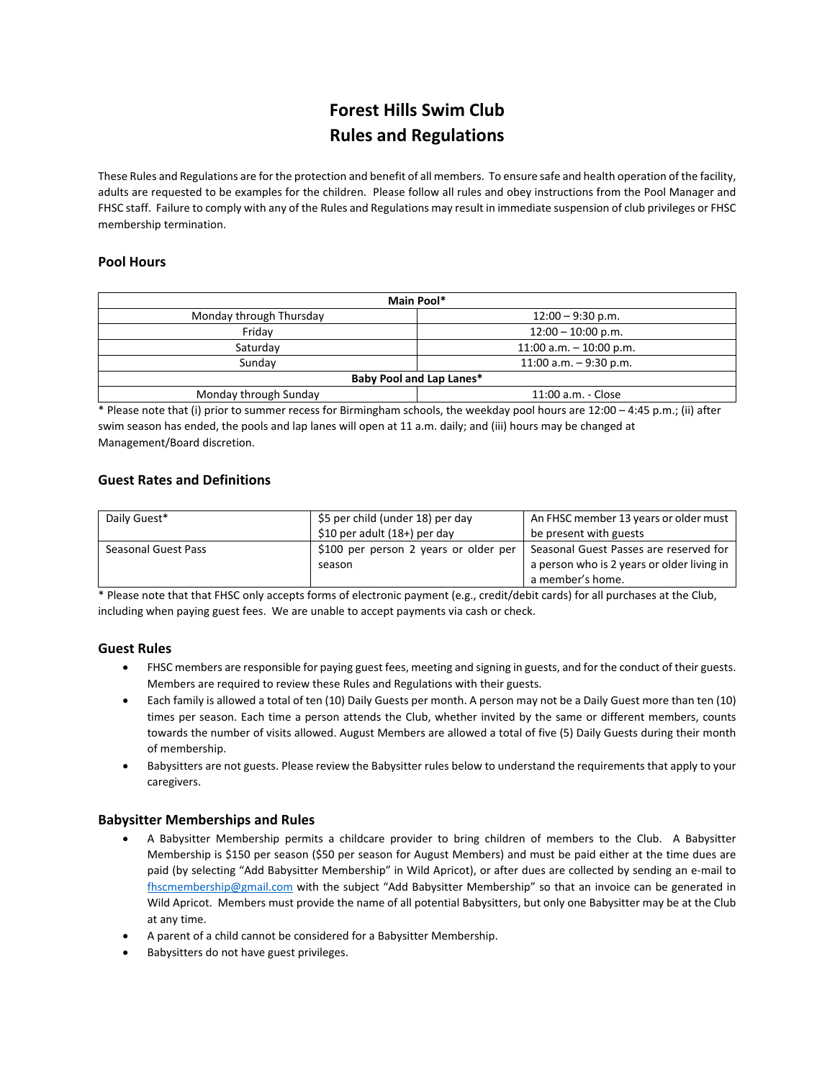# **Forest Hills Swim Club Rules and Regulations**

These Rules and Regulations are for the protection and benefit of all members. To ensure safe and health operation of the facility, adults are requested to be examples for the children. Please follow all rules and obey instructions from the Pool Manager and FHSC staff. Failure to comply with any of the Rules and Regulations may result in immediate suspension of club privileges or FHSC membership termination.

## **Pool Hours**

| Main Pool*                      |                           |  |
|---------------------------------|---------------------------|--|
| Monday through Thursday         | $12:00 - 9:30$ p.m.       |  |
| Fridav                          | $12:00 - 10:00$ p.m.      |  |
| Saturday                        | 11:00 a.m. $-$ 10:00 p.m. |  |
| Sunday                          | 11:00 a.m. $-9:30$ p.m.   |  |
| <b>Baby Pool and Lap Lanes*</b> |                           |  |
| Monday through Sunday           | 11:00 a.m. - Close        |  |

\* Please note that (i) prior to summer recess for Birmingham schools, the weekday pool hours are 12:00 – 4:45 p.m.; (ii) after swim season has ended, the pools and lap lanes will open at 11 a.m. daily; and (iii) hours may be changed at Management/Board discretion.

## **Guest Rates and Definitions**

| Daily Guest*        | \$5 per child (under 18) per day      | An FHSC member 13 years or older must      |
|---------------------|---------------------------------------|--------------------------------------------|
|                     | \$10 per adult $(18+)$ per day        | be present with guests                     |
| Seasonal Guest Pass | \$100 per person 2 years or older per | Seasonal Guest Passes are reserved for     |
|                     | season                                | a person who is 2 years or older living in |
|                     |                                       | a member's home.                           |

\* Please note that that FHSC only accepts forms of electronic payment (e.g., credit/debit cards) for all purchases at the Club, including when paying guest fees. We are unable to accept payments via cash or check.

## **Guest Rules**

- FHSC members are responsible for paying guest fees, meeting and signing in guests, and for the conduct of their guests. Members are required to review these Rules and Regulations with their guests.
- Each family is allowed a total of ten (10) Daily Guests per month. A person may not be a Daily Guest more than ten (10) times per season. Each time a person attends the Club, whether invited by the same or different members, counts towards the number of visits allowed. August Members are allowed a total of five (5) Daily Guests during their month of membership.
- Babysitters are not guests. Please review the Babysitter rules below to understand the requirements that apply to your caregivers.

## **Babysitter Memberships and Rules**

- A Babysitter Membership permits a childcare provider to bring children of members to the Club. A Babysitter Membership is \$150 per season (\$50 per season for August Members) and must be paid either at the time dues are paid (by selecting "Add Babysitter Membership" in Wild Apricot), or after dues are collected by sending an e-mail to [fhscmembership@gmail.com](mailto:fhscmembership@gmail.com) with the subject "Add Babysitter Membership" so that an invoice can be generated in Wild Apricot. Members must provide the name of all potential Babysitters, but only one Babysitter may be at the Club at any time.
- A parent of a child cannot be considered for a Babysitter Membership.
- Babysitters do not have guest privileges.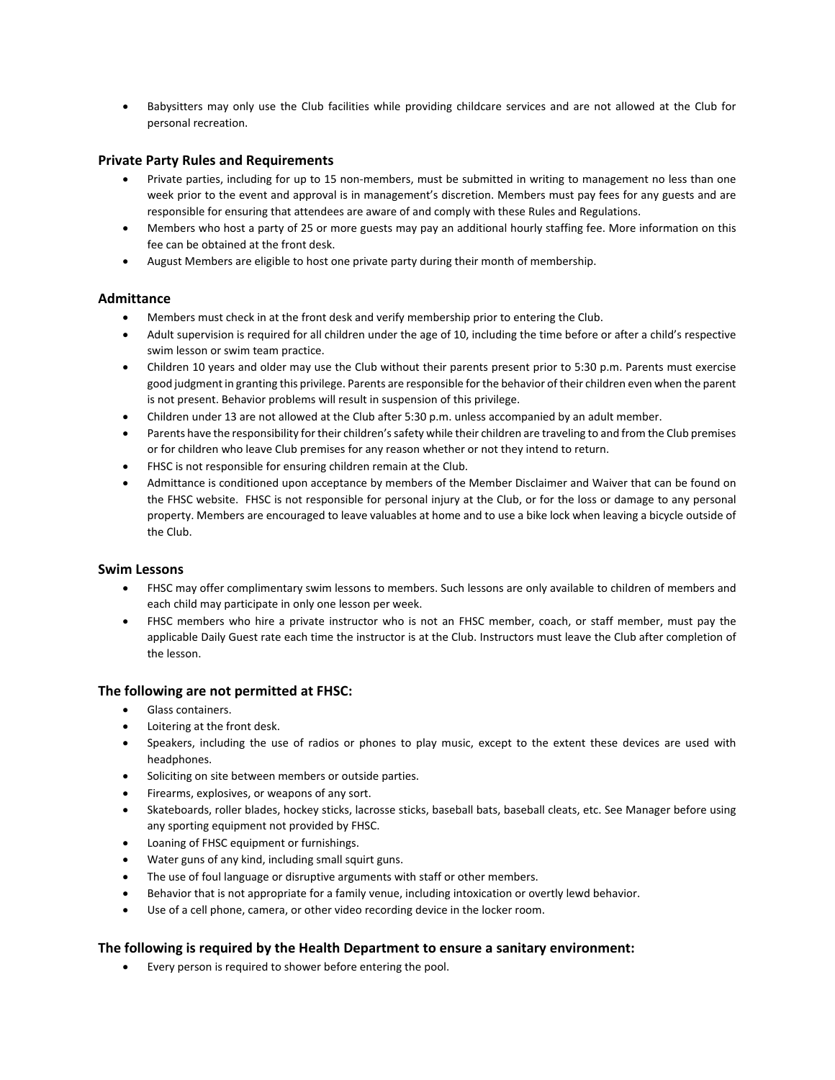• Babysitters may only use the Club facilities while providing childcare services and are not allowed at the Club for personal recreation.

#### **Private Party Rules and Requirements**

- Private parties, including for up to 15 non-members, must be submitted in writing to management no less than one week prior to the event and approval is in management's discretion. Members must pay fees for any guests and are responsible for ensuring that attendees are aware of and comply with these Rules and Regulations.
- Members who host a party of 25 or more guests may pay an additional hourly staffing fee. More information on this fee can be obtained at the front desk.
- August Members are eligible to host one private party during their month of membership.

#### **Admittance**

- Members must check in at the front desk and verify membership prior to entering the Club.
- Adult supervision is required for all children under the age of 10, including the time before or after a child's respective swim lesson or swim team practice.
- Children 10 years and older may use the Club without their parents present prior to 5:30 p.m. Parents must exercise good judgment in granting this privilege. Parents are responsible for the behavior of their children even when the parent is not present. Behavior problems will result in suspension of this privilege.
- Children under 13 are not allowed at the Club after 5:30 p.m. unless accompanied by an adult member.
- Parents have the responsibility for their children's safety while their children are traveling to and from the Club premises or for children who leave Club premises for any reason whether or not they intend to return.
- FHSC is not responsible for ensuring children remain at the Club.
- Admittance is conditioned upon acceptance by members of the Member Disclaimer and Waiver that can be found on the FHSC website. FHSC is not responsible for personal injury at the Club, or for the loss or damage to any personal property. Members are encouraged to leave valuables at home and to use a bike lock when leaving a bicycle outside of the Club.

#### **Swim Lessons**

- FHSC may offer complimentary swim lessons to members. Such lessons are only available to children of members and each child may participate in only one lesson per week.
- FHSC members who hire a private instructor who is not an FHSC member, coach, or staff member, must pay the applicable Daily Guest rate each time the instructor is at the Club. Instructors must leave the Club after completion of the lesson.

## **The following are not permitted at FHSC:**

- Glass containers.
- Loitering at the front desk.
- Speakers, including the use of radios or phones to play music, except to the extent these devices are used with headphones.
- Soliciting on site between members or outside parties.
- Firearms, explosives, or weapons of any sort.
- Skateboards, roller blades, hockey sticks, lacrosse sticks, baseball bats, baseball cleats, etc. See Manager before using any sporting equipment not provided by FHSC.
- Loaning of FHSC equipment or furnishings.
- Water guns of any kind, including small squirt guns.
- The use of foul language or disruptive arguments with staff or other members.
- Behavior that is not appropriate for a family venue, including intoxication or overtly lewd behavior.
- Use of a cell phone, camera, or other video recording device in the locker room.

## **The following is required by the Health Department to ensure a sanitary environment:**

• Every person is required to shower before entering the pool.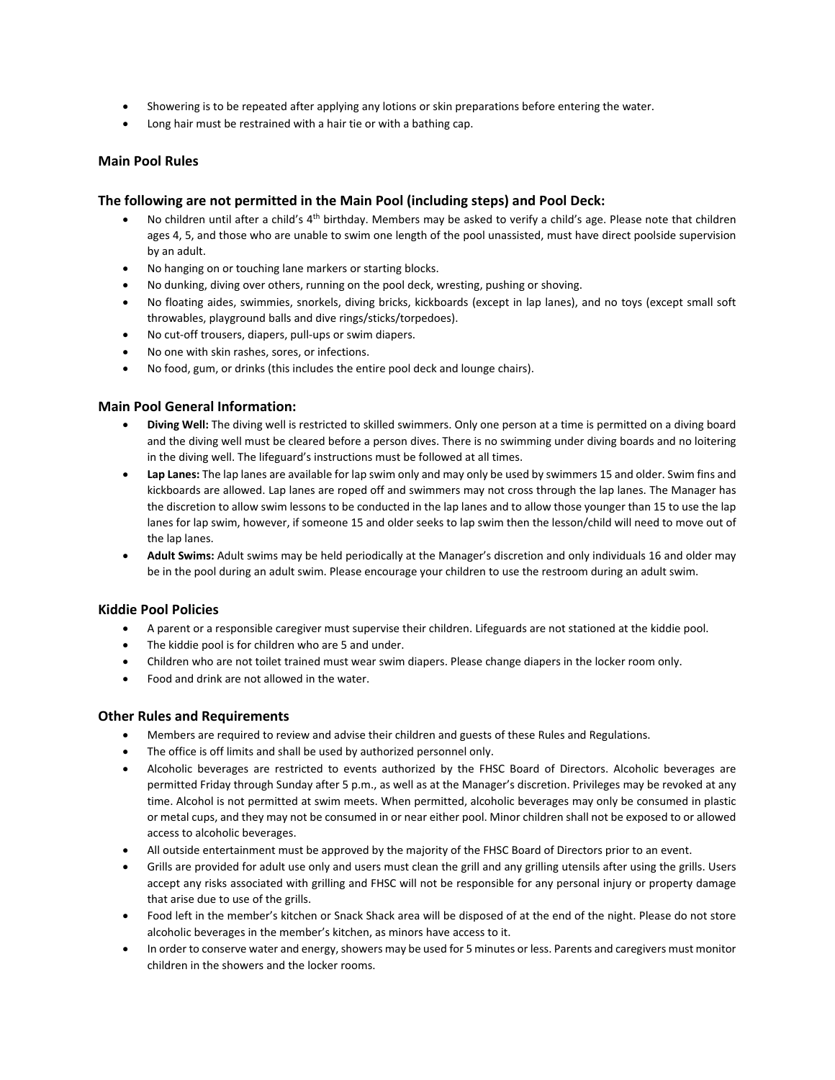- Showering is to be repeated after applying any lotions or skin preparations before entering the water.
- Long hair must be restrained with a hair tie or with a bathing cap.

## **Main Pool Rules**

#### **The following are not permitted in the Main Pool (including steps) and Pool Deck:**

- No children until after a child's 4<sup>th</sup> birthday. Members may be asked to verify a child's age. Please note that children ages 4, 5, and those who are unable to swim one length of the pool unassisted, must have direct poolside supervision by an adult.
- No hanging on or touching lane markers or starting blocks.
- No dunking, diving over others, running on the pool deck, wresting, pushing or shoving.
- No floating aides, swimmies, snorkels, diving bricks, kickboards (except in lap lanes), and no toys (except small soft throwables, playground balls and dive rings/sticks/torpedoes).
- No cut-off trousers, diapers, pull-ups or swim diapers.
- No one with skin rashes, sores, or infections.
- No food, gum, or drinks (this includes the entire pool deck and lounge chairs).

#### **Main Pool General Information:**

- **Diving Well:** The diving well is restricted to skilled swimmers. Only one person at a time is permitted on a diving board and the diving well must be cleared before a person dives. There is no swimming under diving boards and no loitering in the diving well. The lifeguard's instructions must be followed at all times.
- **Lap Lanes:** The lap lanes are available for lap swim only and may only be used by swimmers 15 and older. Swim fins and kickboards are allowed. Lap lanes are roped off and swimmers may not cross through the lap lanes. The Manager has the discretion to allow swim lessons to be conducted in the lap lanes and to allow those younger than 15 to use the lap lanes for lap swim, however, if someone 15 and older seeks to lap swim then the lesson/child will need to move out of the lap lanes.
- **Adult Swims:** Adult swims may be held periodically at the Manager's discretion and only individuals 16 and older may be in the pool during an adult swim. Please encourage your children to use the restroom during an adult swim.

#### **Kiddie Pool Policies**

- A parent or a responsible caregiver must supervise their children. Lifeguards are not stationed at the kiddie pool.
- The kiddie pool is for children who are 5 and under.
- Children who are not toilet trained must wear swim diapers. Please change diapers in the locker room only.
- Food and drink are not allowed in the water.

## **Other Rules and Requirements**

- Members are required to review and advise their children and guests of these Rules and Regulations.
- The office is off limits and shall be used by authorized personnel only.
- Alcoholic beverages are restricted to events authorized by the FHSC Board of Directors. Alcoholic beverages are permitted Friday through Sunday after 5 p.m., as well as at the Manager's discretion. Privileges may be revoked at any time. Alcohol is not permitted at swim meets. When permitted, alcoholic beverages may only be consumed in plastic or metal cups, and they may not be consumed in or near either pool. Minor children shall not be exposed to or allowed access to alcoholic beverages.
- All outside entertainment must be approved by the majority of the FHSC Board of Directors prior to an event.
- Grills are provided for adult use only and users must clean the grill and any grilling utensils after using the grills. Users accept any risks associated with grilling and FHSC will not be responsible for any personal injury or property damage that arise due to use of the grills.
- Food left in the member's kitchen or Snack Shack area will be disposed of at the end of the night. Please do not store alcoholic beverages in the member's kitchen, as minors have access to it.
- In order to conserve water and energy, showers may be used for 5 minutes or less. Parents and caregivers must monitor children in the showers and the locker rooms.